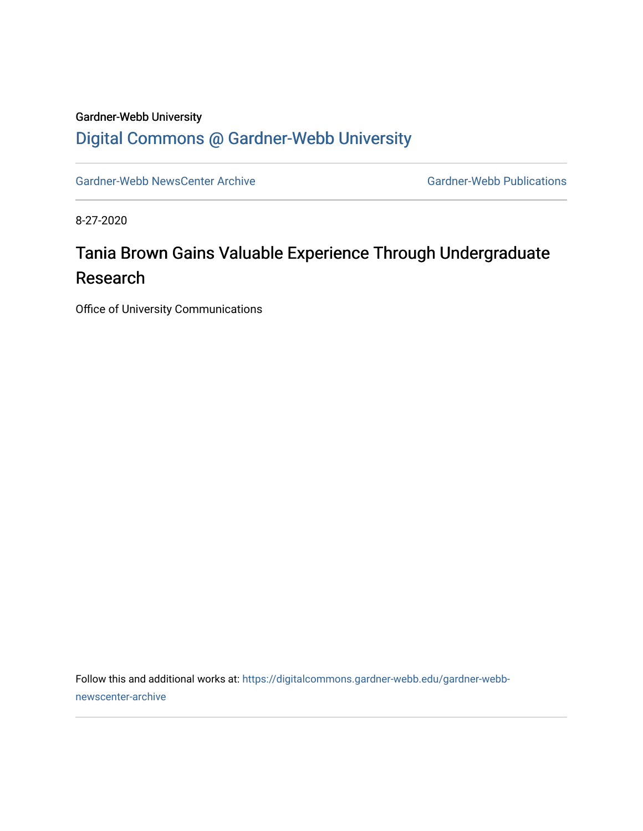#### Gardner-Webb University [Digital Commons @ Gardner-Webb University](https://digitalcommons.gardner-webb.edu/)

[Gardner-Webb NewsCenter Archive](https://digitalcommons.gardner-webb.edu/gardner-webb-newscenter-archive) Gardner-Webb Publications

8-27-2020

### Tania Brown Gains Valuable Experience Through Undergraduate Research

Office of University Communications

Follow this and additional works at: [https://digitalcommons.gardner-webb.edu/gardner-webb](https://digitalcommons.gardner-webb.edu/gardner-webb-newscenter-archive?utm_source=digitalcommons.gardner-webb.edu%2Fgardner-webb-newscenter-archive%2F2138&utm_medium=PDF&utm_campaign=PDFCoverPages)[newscenter-archive](https://digitalcommons.gardner-webb.edu/gardner-webb-newscenter-archive?utm_source=digitalcommons.gardner-webb.edu%2Fgardner-webb-newscenter-archive%2F2138&utm_medium=PDF&utm_campaign=PDFCoverPages)